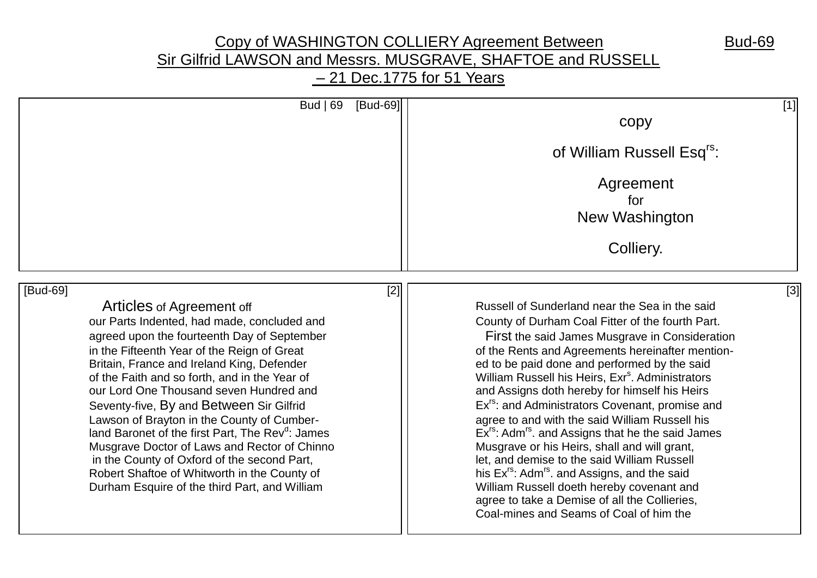## Copy of WASHINGTON COLLIERY Agreement Between Bud-69 Sir Gilfrid LAWSON and Messrs. MUSGRAVE, SHAFTOE and RUSSELL – 21 Dec.1775 for 51 Years

| Bud $ 69 $<br>[Bud-69]                                       | $[1]$                                                                     |
|--------------------------------------------------------------|---------------------------------------------------------------------------|
|                                                              | copy                                                                      |
|                                                              | of William Russell Esq <sup>rs</sup> :                                    |
|                                                              | Agreement                                                                 |
|                                                              | for                                                                       |
|                                                              | New Washington                                                            |
|                                                              | Colliery.                                                                 |
| [Bud-69]<br>$[2]$                                            | $[3]$                                                                     |
| Articles of Agreement off                                    | Russell of Sunderland near the Sea in the said                            |
| our Parts Indented, had made, concluded and                  | County of Durham Coal Fitter of the fourth Part.                          |
| agreed upon the fourteenth Day of September                  | First the said James Musgrave in Consideration                            |
| in the Fifteenth Year of the Reign of Great                  | of the Rents and Agreements hereinafter mention-                          |
| Britain, France and Ireland King, Defender                   | ed to be paid done and performed by the said                              |
| of the Faith and so forth, and in the Year of                | William Russell his Heirs, Exr <sup>s</sup> . Administrators              |
| our Lord One Thousand seven Hundred and                      | and Assigns doth hereby for himself his Heirs                             |
| Seventy-five, By and Between Sir Gilfrid                     | Ex <sup>rs</sup> : and Administrators Covenant, promise and               |
| Lawson of Brayton in the County of Cumber-                   | agree to and with the said William Russell his                            |
| land Baronet of the first Part, The Rev <sup>d</sup> : James | Ex <sup>rs</sup> : Adm <sup>rs</sup> . and Assigns that he the said James |
| Musgrave Doctor of Laws and Rector of Chinno                 | Musgrave or his Heirs, shall and will grant,                              |
| in the County of Oxford of the second Part,                  | let, and demise to the said William Russell                               |
| Robert Shaftoe of Whitworth in the County of                 | his Ex <sup>rs</sup> : Adm <sup>rs</sup> . and Assigns, and the said      |
| Durham Esquire of the third Part, and William                | William Russell doeth hereby covenant and                                 |
|                                                              | agree to take a Demise of all the Collieries,                             |

Coal-mines and Seams of Coal of him the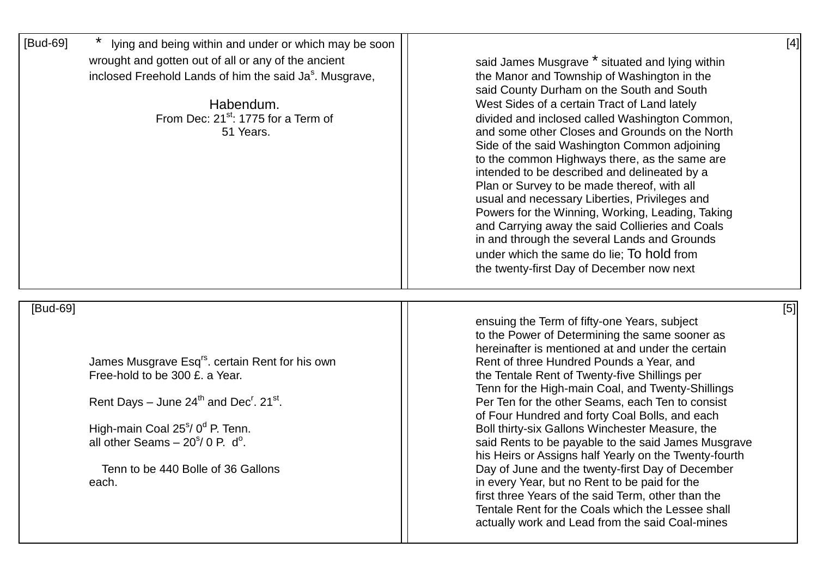| [Bud-69] | lying and being within and under or which may be soon<br>wrought and gotten out of all or any of the ancient<br>inclosed Freehold Lands of him the said Ja <sup>s</sup> . Musgrave,<br>Habendum.<br>From Dec: $21^{st}$ : 1775 for a Term of<br>51 Years. | $[4]$<br>said James Musgrave * situated and lying within<br>the Manor and Township of Washington in the<br>said County Durham on the South and South<br>West Sides of a certain Tract of Land lately<br>divided and inclosed called Washington Common,<br>and some other Closes and Grounds on the North<br>Side of the said Washington Common adjoining<br>to the common Highways there, as the same are<br>intended to be described and delineated by a<br>Plan or Survey to be made thereof, with all<br>usual and necessary Liberties, Privileges and<br>Powers for the Winning, Working, Leading, Taking<br>and Carrying away the said Collieries and Coals<br>in and through the several Lands and Grounds |
|----------|-----------------------------------------------------------------------------------------------------------------------------------------------------------------------------------------------------------------------------------------------------------|------------------------------------------------------------------------------------------------------------------------------------------------------------------------------------------------------------------------------------------------------------------------------------------------------------------------------------------------------------------------------------------------------------------------------------------------------------------------------------------------------------------------------------------------------------------------------------------------------------------------------------------------------------------------------------------------------------------|
|          |                                                                                                                                                                                                                                                           | under which the same do lie; To hold from<br>the twenty-first Day of December now next                                                                                                                                                                                                                                                                                                                                                                                                                                                                                                                                                                                                                           |
| [Bud-69] |                                                                                                                                                                                                                                                           | [5]<br>ensuing the Term of fifty-one Years, subject<br>to the Power of Determining the same sooner as<br>hereinafter is mentioned at and under the certain                                                                                                                                                                                                                                                                                                                                                                                                                                                                                                                                                       |
|          | James Musgrave Esq <sup>rs</sup> . certain Rent for his own<br>Free-hold to be 300 £, a Year.                                                                                                                                                             | Rent of three Hundred Pounds a Year, and<br>the Tentale Rent of Twenty-five Shillings per                                                                                                                                                                                                                                                                                                                                                                                                                                                                                                                                                                                                                        |
|          | Rent Days – June $24^{th}$ and Dec <sup>r</sup> . 21 <sup>st</sup> .                                                                                                                                                                                      | Tenn for the High-main Coal, and Twenty-Shillings<br>Per Ten for the other Seams, each Ten to consist<br>of Four Hundred and forty Coal Bolls, and each                                                                                                                                                                                                                                                                                                                                                                                                                                                                                                                                                          |
|          | High-main Coal 25 <sup>s</sup> / 0 <sup>d</sup> P. Tenn.<br>all other Seams $-20s/ 0$ P. d <sup>o</sup> .                                                                                                                                                 | Boll thirty-six Gallons Winchester Measure, the<br>said Rents to be payable to the said James Musgrave<br>his Heirs or Assigns half Yearly on the Twenty-fourth                                                                                                                                                                                                                                                                                                                                                                                                                                                                                                                                                  |
|          | Tenn to be 440 Bolle of 36 Gallons<br>each.                                                                                                                                                                                                               | Day of June and the twenty-first Day of December<br>in every Year, but no Rent to be paid for the<br>first three Years of the said Term, other than the<br>Tentale Rent for the Coals which the Lessee shall<br>actually work and Lead from the said Coal-mines                                                                                                                                                                                                                                                                                                                                                                                                                                                  |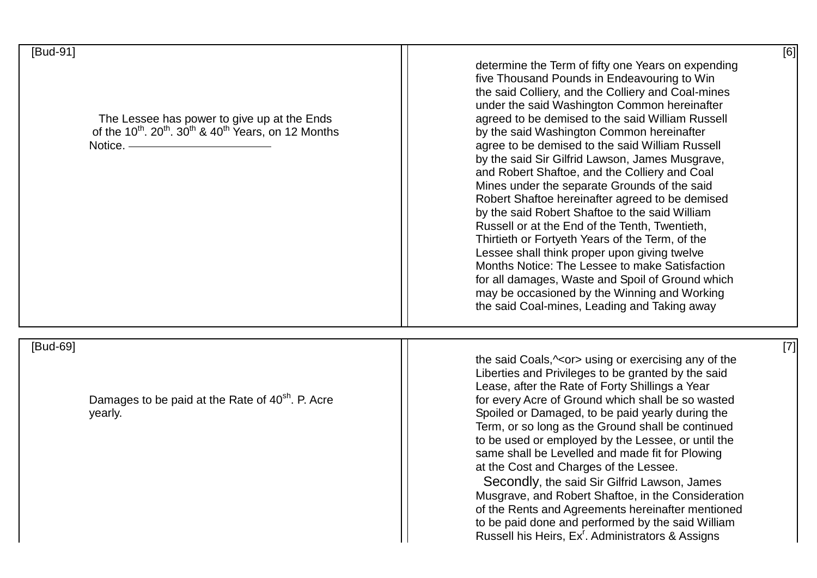| [Bud-91]<br>The Lessee has power to give up at the Ends<br>of the $10^{th}$ . $20^{th}$ . $30^{th}$ & $40^{th}$ Years, on 12 Months<br>Notice. - | [6]<br>determine the Term of fifty one Years on expending<br>five Thousand Pounds in Endeavouring to Win<br>the said Colliery, and the Colliery and Coal-mines<br>under the said Washington Common hereinafter<br>agreed to be demised to the said William Russell<br>by the said Washington Common hereinafter<br>agree to be demised to the said William Russell<br>by the said Sir Gilfrid Lawson, James Musgrave,<br>and Robert Shaftoe, and the Colliery and Coal<br>Mines under the separate Grounds of the said<br>Robert Shaftoe hereinafter agreed to be demised<br>by the said Robert Shaftoe to the said William<br>Russell or at the End of the Tenth, Twentieth,<br>Thirtieth or Fortyeth Years of the Term, of the<br>Lessee shall think proper upon giving twelve<br>Months Notice: The Lessee to make Satisfaction<br>for all damages, Waste and Spoil of Ground which<br>may be occasioned by the Winning and Working<br>the said Coal-mines, Leading and Taking away |
|--------------------------------------------------------------------------------------------------------------------------------------------------|----------------------------------------------------------------------------------------------------------------------------------------------------------------------------------------------------------------------------------------------------------------------------------------------------------------------------------------------------------------------------------------------------------------------------------------------------------------------------------------------------------------------------------------------------------------------------------------------------------------------------------------------------------------------------------------------------------------------------------------------------------------------------------------------------------------------------------------------------------------------------------------------------------------------------------------------------------------------------------------|
| [Bud-69]<br>Damages to be paid at the Rate of 40 <sup>sh</sup> . P. Acre<br>yearly.                                                              | $[7]$<br>the said Coals, $\sim$ or> using or exercising any of the<br>Liberties and Privileges to be granted by the said<br>Lease, after the Rate of Forty Shillings a Year<br>for every Acre of Ground which shall be so wasted<br>Spoiled or Damaged, to be paid yearly during the<br>Term, or so long as the Ground shall be continued<br>to be used or employed by the Lessee, or until the<br>same shall be Levelled and made fit for Plowing<br>at the Cost and Charges of the Lessee.<br>Secondly, the said Sir Gilfrid Lawson, James<br>Musgrave, and Robert Shaftoe, in the Consideration<br>of the Rents and Agreements hereinafter mentioned<br>to be paid done and performed by the said William<br>Russell his Heirs, Ex <sup>r</sup> . Administrators & Assigns                                                                                                                                                                                                          |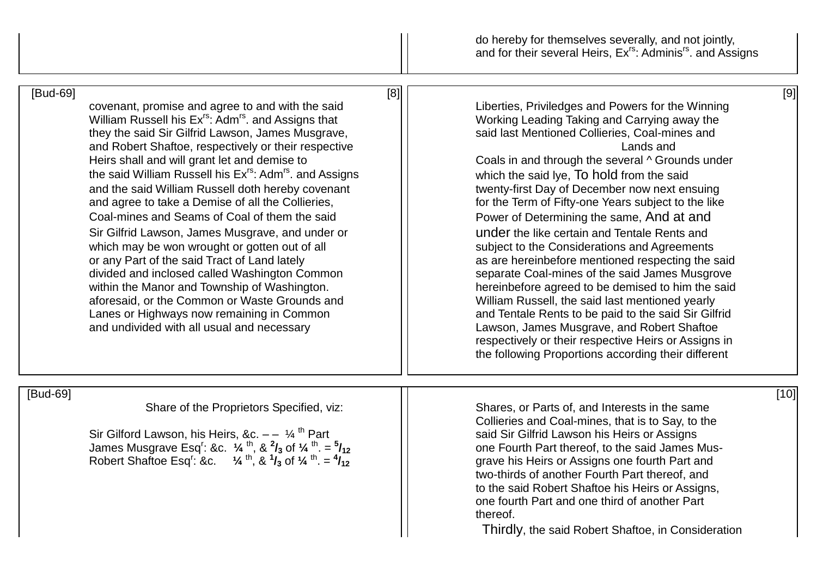do hereby for themselves severally, and not jointly, and for their several Heirs, Ex<sup>rs</sup>: Adminis<sup>rs</sup>. and Assigns

| [Bud-69] | [8]                                                                                                                                                                                                                                                                                                                                                                                                                                                                                                                                                                                                                                                                                                                                                                                                                                                                                                                                          | [9]                                                                                                                                                                                                                                                                                                                                                                                                                                                                                                                                                                                                                                                                                                                                                                                                                                                                                                                                                        |
|----------|----------------------------------------------------------------------------------------------------------------------------------------------------------------------------------------------------------------------------------------------------------------------------------------------------------------------------------------------------------------------------------------------------------------------------------------------------------------------------------------------------------------------------------------------------------------------------------------------------------------------------------------------------------------------------------------------------------------------------------------------------------------------------------------------------------------------------------------------------------------------------------------------------------------------------------------------|------------------------------------------------------------------------------------------------------------------------------------------------------------------------------------------------------------------------------------------------------------------------------------------------------------------------------------------------------------------------------------------------------------------------------------------------------------------------------------------------------------------------------------------------------------------------------------------------------------------------------------------------------------------------------------------------------------------------------------------------------------------------------------------------------------------------------------------------------------------------------------------------------------------------------------------------------------|
|          | covenant, promise and agree to and with the said<br>William Russell his Ex <sup>rs</sup> : Adm <sup>rs</sup> . and Assigns that<br>they the said Sir Gilfrid Lawson, James Musgrave,<br>and Robert Shaftoe, respectively or their respective<br>Heirs shall and will grant let and demise to<br>the said William Russell his Ex <sup>rs</sup> : Adm <sup>rs</sup> . and Assigns<br>and the said William Russell doth hereby covenant<br>and agree to take a Demise of all the Collieries,<br>Coal-mines and Seams of Coal of them the said<br>Sir Gilfrid Lawson, James Musgrave, and under or<br>which may be won wrought or gotten out of all<br>or any Part of the said Tract of Land lately<br>divided and inclosed called Washington Common<br>within the Manor and Township of Washington.<br>aforesaid, or the Common or Waste Grounds and<br>Lanes or Highways now remaining in Common<br>and undivided with all usual and necessary | Liberties, Priviledges and Powers for the Winning<br>Working Leading Taking and Carrying away the<br>said last Mentioned Collieries, Coal-mines and<br>Lands and<br>Coals in and through the several ^ Grounds under<br>which the said lye, To hold from the said<br>twenty-first Day of December now next ensuing<br>for the Term of Fifty-one Years subject to the like<br>Power of Determining the same, And at and<br>under the like certain and Tentale Rents and<br>subject to the Considerations and Agreements<br>as are hereinbefore mentioned respecting the said<br>separate Coal-mines of the said James Musgrove<br>hereinbefore agreed to be demised to him the said<br>William Russell, the said last mentioned yearly<br>and Tentale Rents to be paid to the said Sir Gilfrid<br>Lawson, James Musgrave, and Robert Shaftoe<br>respectively or their respective Heirs or Assigns in<br>the following Proportions according their different |
|          |                                                                                                                                                                                                                                                                                                                                                                                                                                                                                                                                                                                                                                                                                                                                                                                                                                                                                                                                              |                                                                                                                                                                                                                                                                                                                                                                                                                                                                                                                                                                                                                                                                                                                                                                                                                                                                                                                                                            |
| [Bud-69] | Share of the Proprietors Specified, viz:<br>Sir Gilford Lawson, his Heirs, &c. $- - 1/4$ <sup>th</sup> Part<br>James Musgrave Esq <sup>r</sup> : &c. $\frac{1}{4}$ <sup>th</sup> , & $\frac{2}{3}$ of $\frac{1}{4}$ <sup>th</sup> . = $\frac{5}{12}$<br>Robert Shaftoe Esq': &c. $\frac{1}{4}$ th, & $\frac{1}{3}$ of $\frac{1}{4}$ th = $\frac{4}{12}$                                                                                                                                                                                                                                                                                                                                                                                                                                                                                                                                                                                      | $[10]$<br>Shares, or Parts of, and Interests in the same<br>Collieries and Coal-mines, that is to Say, to the<br>said Sir Gilfrid Lawson his Heirs or Assigns<br>one Fourth Part thereof, to the said James Mus-<br>grave his Heirs or Assigns one fourth Part and<br>two-thirds of another Fourth Part thereof, and<br>to the said Robert Shaftoe his Heirs or Assigns,<br>one fourth Part and one third of another Part<br>thereof.<br>Thirdly, the said Robert Shaftoe, in Consideration                                                                                                                                                                                                                                                                                                                                                                                                                                                                |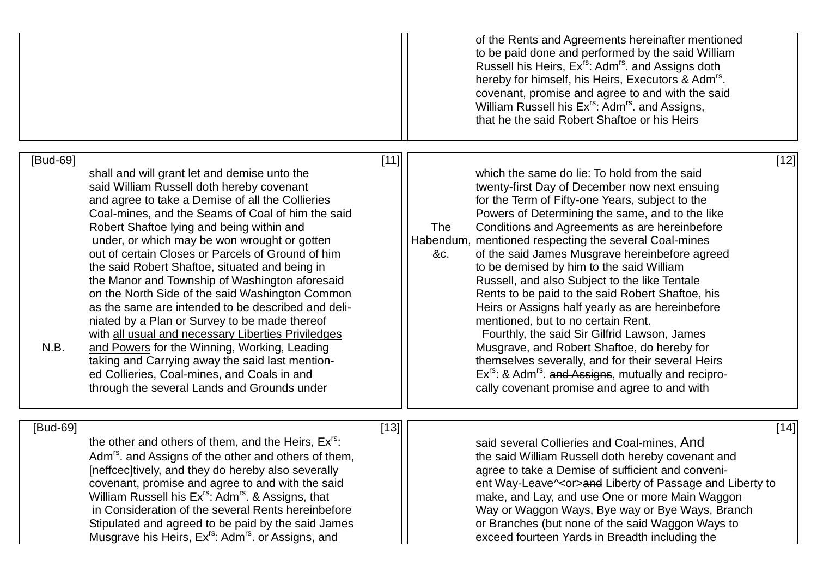|                  |                                                                                                                                                                                                                                                                                                                                                                                                                                                                                                                                                                                                                                                                                                                                                                                                                                                                           |        | of the Rents and Agreements hereinafter mentioned<br>to be paid done and performed by the said William<br>Russell his Heirs, Ex <sup>rs</sup> : Adm <sup>rs</sup> . and Assigns doth<br>hereby for himself, his Heirs, Executors & Adm <sup>rs</sup> .<br>covenant, promise and agree to and with the said<br>William Russell his Ex <sup>rs</sup> : Adm <sup>rs</sup> . and Assigns,<br>that he the said Robert Shaftoe or his Heirs                                                                                                                                                                                                                                                                                                                                                                                                                                                                                        |
|------------------|---------------------------------------------------------------------------------------------------------------------------------------------------------------------------------------------------------------------------------------------------------------------------------------------------------------------------------------------------------------------------------------------------------------------------------------------------------------------------------------------------------------------------------------------------------------------------------------------------------------------------------------------------------------------------------------------------------------------------------------------------------------------------------------------------------------------------------------------------------------------------|--------|------------------------------------------------------------------------------------------------------------------------------------------------------------------------------------------------------------------------------------------------------------------------------------------------------------------------------------------------------------------------------------------------------------------------------------------------------------------------------------------------------------------------------------------------------------------------------------------------------------------------------------------------------------------------------------------------------------------------------------------------------------------------------------------------------------------------------------------------------------------------------------------------------------------------------|
| [Bud-69]<br>N.B. | shall and will grant let and demise unto the<br>said William Russell doth hereby covenant<br>and agree to take a Demise of all the Collieries<br>Coal-mines, and the Seams of Coal of him the said<br>Robert Shaftoe lying and being within and<br>under, or which may be won wrought or gotten<br>out of certain Closes or Parcels of Ground of him<br>the said Robert Shaftoe, situated and being in<br>the Manor and Township of Washington aforesaid<br>on the North Side of the said Washington Common<br>as the same are intended to be described and deli-<br>niated by a Plan or Survey to be made thereof<br>with all usual and necessary Liberties Priviledges<br>and Powers for the Winning, Working, Leading<br>taking and Carrying away the said last mention-<br>ed Collieries, Coal-mines, and Coals in and<br>through the several Lands and Grounds under | $[11]$ | $[12]$<br>which the same do lie: To hold from the said<br>twenty-first Day of December now next ensuing<br>for the Term of Fifty-one Years, subject to the<br>Powers of Determining the same, and to the like<br>Conditions and Agreements as are hereinbefore<br><b>The</b><br>Habendum, mentioned respecting the several Coal-mines<br>of the said James Musgrave hereinbefore agreed<br>&c.<br>to be demised by him to the said William<br>Russell, and also Subject to the like Tentale<br>Rents to be paid to the said Robert Shaftoe, his<br>Heirs or Assigns half yearly as are hereinbefore<br>mentioned, but to no certain Rent.<br>Fourthly, the said Sir Gilfrid Lawson, James<br>Musgrave, and Robert Shaftoe, do hereby for<br>themselves severally, and for their several Heirs<br>Ex <sup>rs</sup> : & Adm <sup>rs</sup> . and Assigns, mutually and recipro-<br>cally covenant promise and agree to and with |
| [Bud-69]         | the other and others of them, and the Heirs, Ex <sup>rs</sup> :<br>Adm <sup>rs</sup> , and Assigns of the other and others of them,<br>[neffcec] tively, and they do hereby also severally<br>covenant, promise and agree to and with the said<br>William Russell his Ex <sup>rs</sup> : Adm <sup>rs</sup> . & Assigns, that<br>in Consideration of the several Rents hereinbefore<br>Stipulated and agreed to be paid by the said James<br>Musgrave his Heirs, Ex <sup>rs</sup> : Adm <sup>rs</sup> . or Assigns, and                                                                                                                                                                                                                                                                                                                                                    | $[13]$ | $[14]$<br>said several Collieries and Coal-mines, And<br>the said William Russell doth hereby covenant and<br>agree to take a Demise of sufficient and conveni-<br>ent Way-Leave^ <or>and Liberty of Passage and Liberty to<br/>make, and Lay, and use One or more Main Waggon<br/>Way or Waggon Ways, Bye way or Bye Ways, Branch<br/>or Branches (but none of the said Waggon Ways to<br/>exceed fourteen Yards in Breadth including the</or>                                                                                                                                                                                                                                                                                                                                                                                                                                                                              |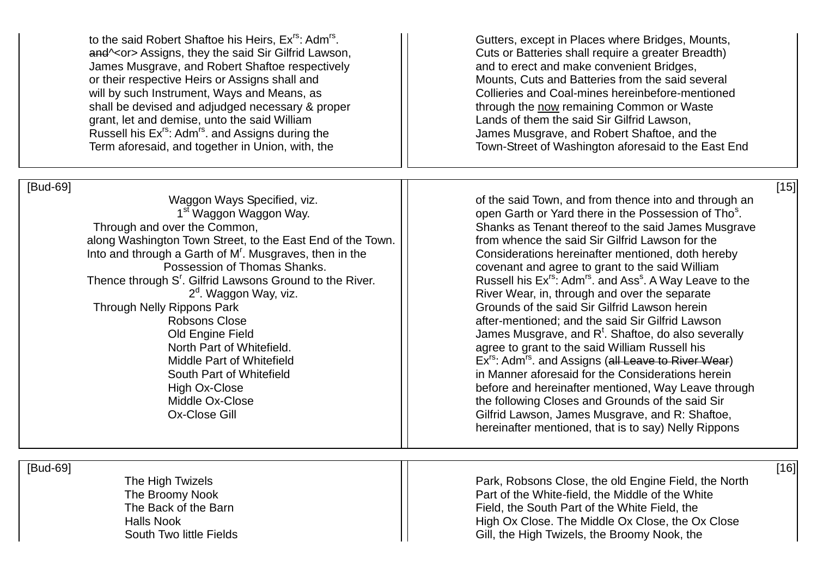to the said Robert Shaftoe his Heirs, Ex<sup>rs</sup>; Adm<sup>rs</sup>, and<sup> $\sim$ </sup> Assigns, they the said Sir Gilfrid Lawson, Fig. 2015 Cuts or Batteries shall require a greater Breadth) James Musgrave, and Robert Shaftoe respectively and to erect and make convenient Bridges, or their respective Heirs or Assigns shall and Mounts, Cuts and Batteries from the said several will by such Instrument, Ways and Means, as <br>
shall be devised and adjudged necessary & proper<br>
I shall be devised and adjudged necessary & proper shall be devised and adjudged necessary & proper grant, let and demise, unto the said William Lands of them the said Sir Gilfrid Lawson, Russell his Ex<sup>rs</sup>: Adm<sup>rs</sup>, and Assigns during the **Julian Company** James Musgrave, and Robert Shaftoe, and the

## [Bud-69] [15]

<sup>1st</sup> Waggon Waggon Way.<br>Through and over the Common. along Washington Town Street, to the East End of the Town. | | stratum whence the said Sir Gilfrid Lawson for the Into and through a Garth of  $M<sup>r</sup>$ . Musaraves, then in the Thence through S<sup>r</sup>. Gilfrid Lawsons Ground to the River.  $\vert \cdot \vert$  Russell his Ex<sup>rs</sup>: Adm<sup>rs</sup>. and Ass<sup>s</sup>  $2^d$ Through Nelly Rippons Park Grounds of the said Sir Gilfrid Lawson herein Old Engine Field  $\vert\,\vert$   $\vert$  James Musgrave, and R<sup>t</sup>. Shaftoe, do also severally

. Gutters, except in Places where Bridges, Mounts, Term aforesaid, and together in Union, with, the Trumber Town-Street of Washington aforesaid to the East End

> Waggon Ways Specified, viz.  $\vert \vert$  of the said Town, and from thence into and through an  $^{\rm{sf}}$  Waggon Waggon Way.  $\hphantom{\text{st}}$   $\vert\,\vert$  open Garth or Yard there in the Possession of Tho $^{\rm{s}}$ . Shanks as Tenant thereof to the said James Musgrave Considerations hereinafter mentioned, doth hereby Possession of Thomas Shanks.  $\vert\vert$  covenant and agree to grant to the said William Russell his Ex<sup>rs</sup>: Adm<sup>rs</sup>, and Ass<sup>s</sup>. A Way Leave to the River Wear, in, through and over the separate Robsons Close **a Robsons** Close **after-mentioned**: and the said Sir Gilfrid Lawson North Part of Whitefield. The said William Russell his agree to grant to the said William Russell his Middle Part of Whitefield  $\vert$   $\vert$  Ex<sup>rs</sup>: Adm<sup>rs</sup>, and Assigns (all Leave to River Wear) South Part of Whitefield **in Manner aforesaid for the Considerations herein** High Ox-Close **before and hereinafter mentioned, Way Leave through** Middle Ox-Close **the following Closes and Grounds of the said Sir** Ox-Close Gill Gilfrid Lawson, James Musgrave, and R: Shaftoe, hereinafter mentioned, that is to say) Nelly Rippons

[Bud-69] [16]

The High Twizels **Park, Robsons Close, the old Engine Field, the North** The Broomy Nook **Part of the White-field, the Middle of the White-**The Back of the Barn Field, the South Part of the White Field, the South Part of the White Field, the Halls Nook High Ox Close. The Middle Ox Close, the Ox Close South Two little Fields Gill, the High Twizels, the Broomy Nook, the Gill, the High Twizels, the Broomy Nook, the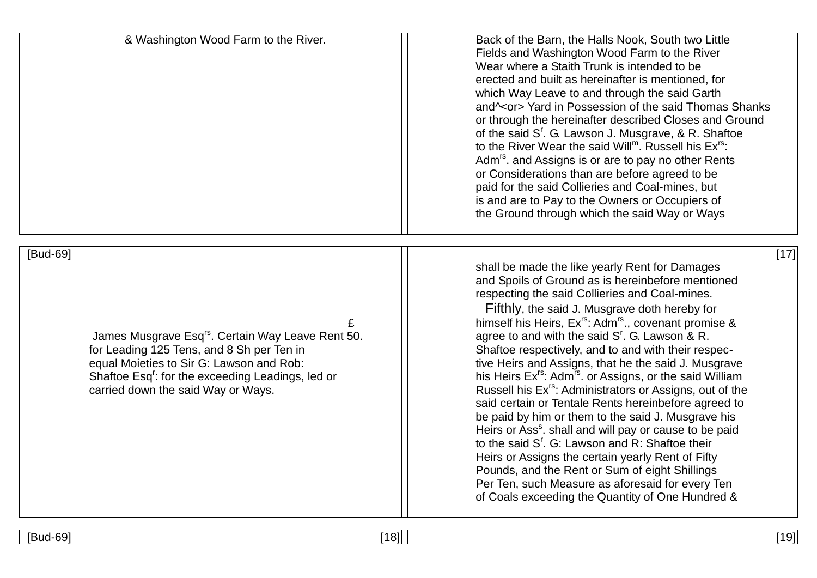& Washington Wood Farm to the River. The State of the Barn, the Halls Nook, South two Little Fields and Washington Wood Farm to the River Wear where a Staith Trunk is intended to be erected and built as hereinafter is mentioned, for which Way Leave to and through the said Garth and \< or > Yard in Possession of the said Thomas Shanks or through the hereinafter described Closes and Ground of the said S'. G. Lawson J. Musgrave, & R. Shaftoe to the River Wear the said Will<sup>m</sup>. Russell his  $Ex^{rs}$ : Adm<sup>rs</sup>. and Assigns is or are to pay no other Rents or Considerations than are before agreed to be paid for the said Collieries and Coal-mines, but is and are to Pay to the Owners or Occupiers of the Ground through which the said Way or Ways

[Bud-69] [17]

James Musgrave Esg<sup>rs</sup>. Certain Way Leave Rent 50. for Leading 125 Tens, and 8 Sh per Ten in Shaftoe respectively, and to and with their respecequal Moieties to Sir G: Lawson and Rob:  $\vert \vert$  tive Heirs and Assigns, that he the said J. Musgrave Shaftoe Esg<sup>r</sup>: for the exceeding Leadings, led or carried down the said Way or Ways.  $\vert \vert$  Russell his Ex<sup>rs</sup>: Administrators or Assigns, out of the

shall be made the like yearly Rent for Damages and Spoils of Ground as is hereinbefore mentioned respecting the said Collieries and Coal-mines.

 Fifthly, the said J. Musgrave doth hereby for £ himself his Heirs, Exrs: Admrs., covenant promise & agree to and with the said  $S<sup>r</sup>$ . G. Lawson & R. his Heirs  $Ex^{rs}$ : Adm<sup>rs</sup>. or Assigns, or the said William said certain or Tentale Rents hereinbefore agreed to be paid by him or them to the said J. Musgrave his Heirs or Ass<sup>s</sup>. shall and will pay or cause to be paid to the said S'. G: Lawson and R: Shaftoe their Heirs or Assigns the certain yearly Rent of Fifty Pounds, and the Rent or Sum of eight Shillings Per Ten, such Measure as aforesaid for every Ten of Coals exceeding the Quantity of One Hundred &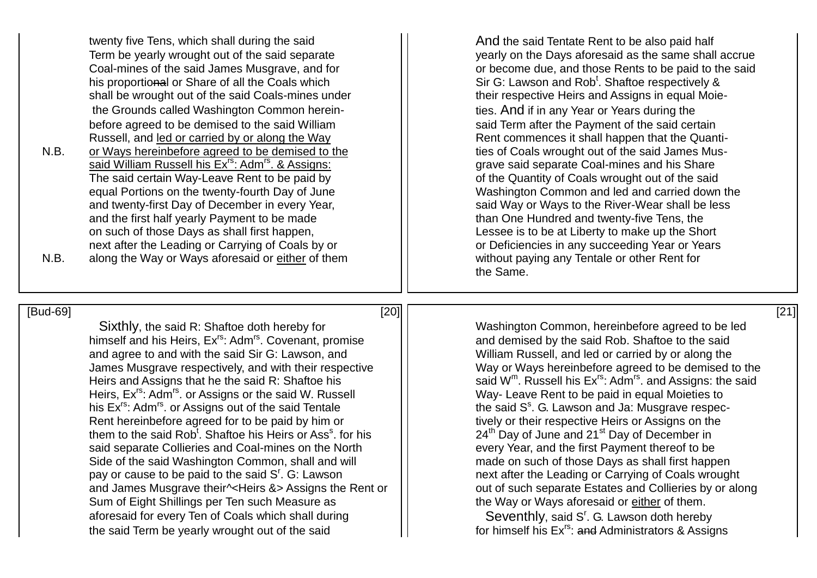twenty five Tens, which shall during the said **And the said Tentate Rent to be also paid half** his proportional or Share of all the Coals which shall be wrought out of the said Coals-mines under **their respective Heirs and Assigns in equal Moie**the Grounds called Washington Common herein- The Matter States. And if in any Year or Years during the before agreed to be demised to the said William  $\vert$  said Term after the Payment of the said certain Russell, and led or carried by or along the Way  $\vert \vert$  Rent commences it shall happen that the Quanti-

N.B. or Ways hereinbefore agreed to be demised to the ties of Coals wrought out of the said James Mussaid William Russell his Ex<sup>rs</sup>: Adm<sup>rs</sup>. & Assigns: Grave said separate Coal-mines and his Share The said certain Way-Leave Rent to be paid by  $\vert \vert$  of the Quantity of Coals wrought out of the said and the first half yearly Payment to be made<br>
on such of those Days as shall first happen,<br>
The sease is to be at Liberty to make up the Show and the Show such of those Days as shall first happen, next after the Leading or Carrying of Coals by or **or Call come Container any succeeding Year or Years** or Years N.B. along the Way or Ways aforesaid or either of them  $\vert \vert$  without paying any Tentale or other Rent for

Term be yearly wrought out of the said separate yearly on the Days aforesaid as the same shall accrue<br>Coal-mines of the said James Musgrave, and for and the said or become due, and those Rents to be paid to the said or become due, and those Rents to be paid to the said Sir G: Lawson and Rob<sup>t</sup>, Shaftoe respectively & equal Portions on the twenty-fourth Day of June<br>and twenty-first Day of December in every Year,<br>and twenty-first Day of December in every Year,<br>and twenty-first Day of December in every Year, said Way or Ways to the River-Wear shall be less Lessee is to be at Liberty to make up the Short the Same.

[Bud-69] [20] [21] Sixthly, the said R: Shaftoe doth hereby for **Net are a Sixthly** Washington Common, hereinbefore agreed to be led himself and his Heirs, Ex<sup>rs</sup>: Adm<sup>rs</sup>. Covenant, promise and and demised by the said Rob. Shaftoe to the said and agree to and with the said Sir G: Lawson, and Milliam Russell, and led or carried by or along the James Musgrave respectively, and with their respective  $\vert \cdot \vert$  Way or Ways hereinbefore agreed to be demised to the Heirs and Assigns that he the said R: Shaftoe his Heirs, Ex<sup>rs</sup>: Adm<sup>rs</sup>. or Assigns or the said W. Russell | Way- Leave Rent to be paid in equal Moieties to his Ex<sup>rs</sup>: Adm<sup>rs</sup>. or Assigns out of the said Tentale Rent hereinbefore agreed for to be paid by him or **the set of the interefact** tively or their respective Heirs or Assigns on the them to the said Rob<sup>t</sup>. Shaftoe his Heirs or Ass<sup>s</sup> said separate Collieries and Coal-mines on the North every Year, and the first Payment thereof to be Side of the said Washington Common, shall and will **Fig. 1** made on such of those Days as shall first happen pay or cause to be paid to the said  $S<sup>r</sup>$ . G: Lawson and James Musgrave their<sup> $\sim$ </sup>Heirs &> Assigns the Rent or  $||$  out of such separate Estates and Collieries by or along Sum of Eight Shillings per Ten such Measure as  $\vert \vert$  the Way or Ways aforesaid or either of them. aforesaid for every Ten of Coals which shall during the said Term be yearly wrought out of the said  $\vert\vert$  for himself his Ex<sup>rs</sup>: and Administrators & Assigns

said  $W^m$ . Russell his  $Ex^{rs}$ : Adm<sup>rs</sup>, and Assigns: the said the said  $S^s$ . G. Lawson and Ja: Musgrave respec-24<sup>th</sup> Day of June and 21<sup>st</sup> Day of December in next after the Leading or Carrying of Coals wrought

Seventhly, said S'. G. Lawson doth hereby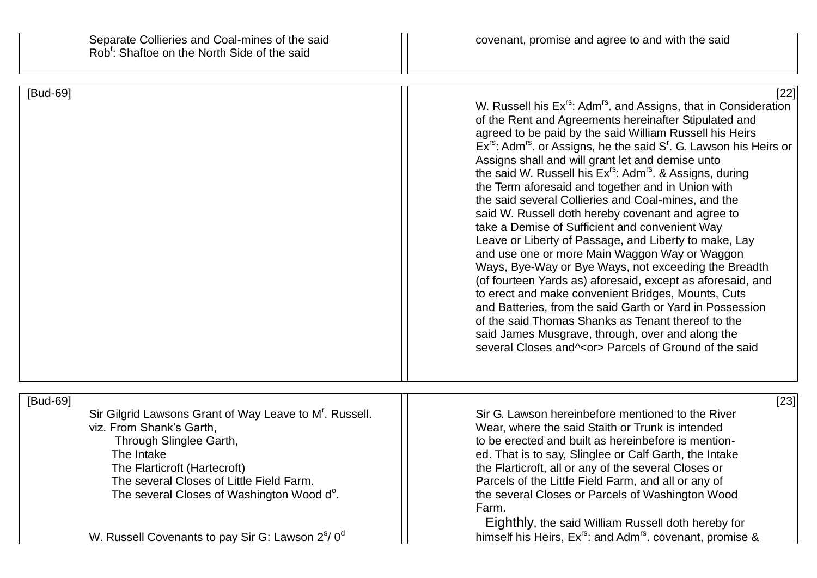| [Bud-69]                                                                                                                                                                                                                                                                                                                                         | $[22]$<br>W. Russell his Ex <sup>rs</sup> : Adm <sup>rs</sup> . and Assigns, that in Consideration<br>of the Rent and Agreements hereinafter Stipulated and<br>agreed to be paid by the said William Russell his Heirs<br>$Ex^{rs}$ : Adm <sup>rs</sup> . or Assigns, he the said $Sr$ . G. Lawson his Heirs or<br>Assigns shall and will grant let and demise unto<br>the said W. Russell his Ex <sup>rs</sup> : Adm <sup>rs</sup> . & Assigns, during<br>the Term aforesaid and together and in Union with<br>the said several Collieries and Coal-mines, and the<br>said W. Russell doth hereby covenant and agree to<br>take a Demise of Sufficient and convenient Way<br>Leave or Liberty of Passage, and Liberty to make, Lay<br>and use one or more Main Waggon Way or Waggon<br>Ways, Bye-Way or Bye Ways, not exceeding the Breadth<br>(of fourteen Yards as) aforesaid, except as aforesaid, and<br>to erect and make convenient Bridges, Mounts, Cuts<br>and Batteries, from the said Garth or Yard in Possession<br>of the said Thomas Shanks as Tenant thereof to the<br>said James Musgrave, through, over and along the<br>several Closes and \ <or> Parcels of Ground of the said</or> |
|--------------------------------------------------------------------------------------------------------------------------------------------------------------------------------------------------------------------------------------------------------------------------------------------------------------------------------------------------|--------------------------------------------------------------------------------------------------------------------------------------------------------------------------------------------------------------------------------------------------------------------------------------------------------------------------------------------------------------------------------------------------------------------------------------------------------------------------------------------------------------------------------------------------------------------------------------------------------------------------------------------------------------------------------------------------------------------------------------------------------------------------------------------------------------------------------------------------------------------------------------------------------------------------------------------------------------------------------------------------------------------------------------------------------------------------------------------------------------------------------------------------------------------------------------------------------|
| [Bud-69]<br>Sir Gilgrid Lawsons Grant of Way Leave to M'. Russell.<br>viz. From Shank's Garth,<br>Through Slinglee Garth,<br>The Intake<br>The Flarticroft (Hartecroft)<br>The several Closes of Little Field Farm.<br>The several Closes of Washington Wood d <sup>o</sup> .<br>W. Russell Covenants to pay Sir G: Lawson $2^{\circ}/0^{\circ}$ | $[23]$<br>Sir G. Lawson hereinbefore mentioned to the River<br>Wear, where the said Staith or Trunk is intended<br>to be erected and built as hereinbefore is mention-<br>ed. That is to say, Slinglee or Calf Garth, the Intake<br>the Flarticroft, all or any of the several Closes or<br>Parcels of the Little Field Farm, and all or any of<br>the several Closes or Parcels of Washington Wood<br>Farm.<br>Eighthly, the said William Russell doth hereby for<br>himself his Heirs, Ex <sup>rs</sup> : and Adm <sup>rs</sup> . covenant, promise &                                                                                                                                                                                                                                                                                                                                                                                                                                                                                                                                                                                                                                                |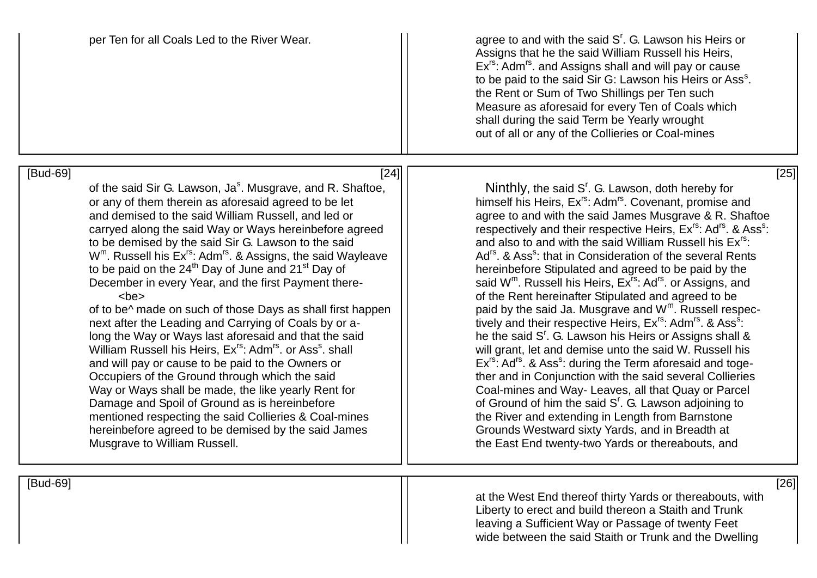| per Ten for all Coals Led to the River Wear.                                                                                                                                                                                                                                                                                                                                                                                                                                                                                                                                                                                                                                                                                                                                                                                                                                                                                                                                                                                                                                                                                                                                                                                         | agree to and with the said S'. G. Lawson his Heirs or<br>Assigns that he the said William Russell his Heirs,<br>Ex <sup>rs</sup> : Adm <sup>rs</sup> , and Assigns shall and will pay or cause<br>to be paid to the said Sir G: Lawson his Heirs or Ass <sup>s</sup> .<br>the Rent or Sum of Two Shillings per Ten such<br>Measure as aforesaid for every Ten of Coals which<br>shall during the said Term be Yearly wrought<br>out of all or any of the Collieries or Coal-mines                                                                                                                                                                                                                                                                                                                                                                                                                                                                                                                                                                                                                                                                                                                                                                                                                                                                                                                                                                                          |
|--------------------------------------------------------------------------------------------------------------------------------------------------------------------------------------------------------------------------------------------------------------------------------------------------------------------------------------------------------------------------------------------------------------------------------------------------------------------------------------------------------------------------------------------------------------------------------------------------------------------------------------------------------------------------------------------------------------------------------------------------------------------------------------------------------------------------------------------------------------------------------------------------------------------------------------------------------------------------------------------------------------------------------------------------------------------------------------------------------------------------------------------------------------------------------------------------------------------------------------|----------------------------------------------------------------------------------------------------------------------------------------------------------------------------------------------------------------------------------------------------------------------------------------------------------------------------------------------------------------------------------------------------------------------------------------------------------------------------------------------------------------------------------------------------------------------------------------------------------------------------------------------------------------------------------------------------------------------------------------------------------------------------------------------------------------------------------------------------------------------------------------------------------------------------------------------------------------------------------------------------------------------------------------------------------------------------------------------------------------------------------------------------------------------------------------------------------------------------------------------------------------------------------------------------------------------------------------------------------------------------------------------------------------------------------------------------------------------------|
| [Bud-69]<br>$[24]$<br>of the said Sir G. Lawson, Ja <sup>s</sup> . Musgrave, and R. Shaftoe,<br>or any of them therein as aforesaid agreed to be let<br>and demised to the said William Russell, and led or<br>carryed along the said Way or Ways hereinbefore agreed<br>to be demised by the said Sir G. Lawson to the said<br>W <sup>m</sup> . Russell his Ex <sup>rs</sup> : Adm <sup>rs</sup> . & Assigns, the said Wayleave<br>to be paid on the 24 <sup>th</sup> Day of June and 21 <sup>st</sup> Day of<br>December in every Year, and the first Payment there-<br>$<$ be $>$<br>of to be^ made on such of those Days as shall first happen<br>next after the Leading and Carrying of Coals by or a-<br>long the Way or Ways last aforesaid and that the said<br>William Russell his Heirs, Ex <sup>rs</sup> : Adm <sup>rs</sup> . or Ass <sup>s</sup> . shall<br>and will pay or cause to be paid to the Owners or<br>Occupiers of the Ground through which the said<br>Way or Ways shall be made, the like yearly Rent for<br>Damage and Spoil of Ground as is hereinbefore<br>mentioned respecting the said Collieries & Coal-mines<br>hereinbefore agreed to be demised by the said James<br>Musgrave to William Russell. | $[25]$<br>Ninthly, the said S <sup>r</sup> . G. Lawson, doth hereby for<br>himself his Heirs, Ex <sup>rs</sup> : Adm <sup>rs</sup> . Covenant, promise and<br>agree to and with the said James Musgrave & R. Shaftoe<br>respectively and their respective Heirs, Ex <sup>rs</sup> : Ad <sup>rs</sup> . & Ass <sup>s</sup> :<br>and also to and with the said William Russell his Ex <sup>rs</sup> :<br>Ad <sup>rs</sup> . & Ass <sup>s</sup> : that in Consideration of the several Rents<br>hereinbefore Stipulated and agreed to be paid by the<br>said W <sup>m</sup> . Russell his Heirs, Ex <sup>rs</sup> : Ad <sup>rs</sup> . or Assigns, and<br>of the Rent hereinafter Stipulated and agreed to be<br>paid by the said Ja. Musgrave and W <sup>m</sup> . Russell respec-<br>tively and their respective Heirs, Ex <sup>rs</sup> : Adm <sup>rs</sup> . & Ass <sup>s</sup> :<br>he the said S <sup>r</sup> . G. Lawson his Heirs or Assigns shall &<br>will grant, let and demise unto the said W. Russell his<br>Ex <sup>rs</sup> : Ad <sup>rs</sup> . & Ass <sup>s</sup> : during the Term aforesaid and toge-<br>ther and in Conjunction with the said several Collieries<br>Coal-mines and Way- Leaves, all that Quay or Parcel<br>of Ground of him the said S <sup>r</sup> . G. Lawson adjoining to<br>the River and extending in Length from Barnstone<br>Grounds Westward sixty Yards, and in Breadth at<br>the East End twenty-two Yards or thereabouts, and |
| [Bud-69]                                                                                                                                                                                                                                                                                                                                                                                                                                                                                                                                                                                                                                                                                                                                                                                                                                                                                                                                                                                                                                                                                                                                                                                                                             | [26]<br>at the West End thereof thirty Varde or thereaboute with                                                                                                                                                                                                                                                                                                                                                                                                                                                                                                                                                                                                                                                                                                                                                                                                                                                                                                                                                                                                                                                                                                                                                                                                                                                                                                                                                                                                           |

at the West End thereof thirty Yards or thereabouts, with Liberty to erect and build thereon a Staith and Trunk leaving a Sufficient Way or Passage of twenty Feet wide between the said Staith or Trunk and the Dwelling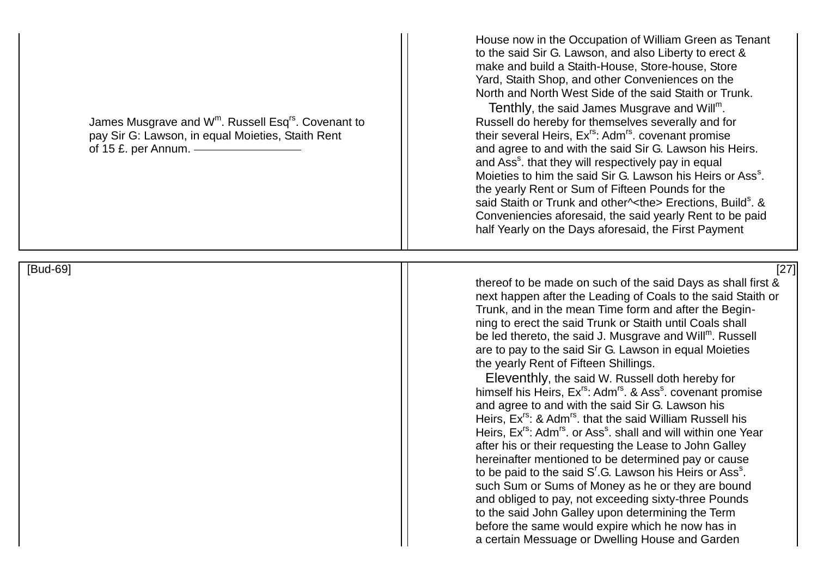James Musgrave and  $W^m$ . Russell Esg<sup>rs</sup>. Covenant to pay Sir G: Lawson, in equal Moieties, Staith Rent  $\vert \vert$  their several Heirs, Ex<sup>rs</sup>: Adm<sup>rs</sup>. covenant promise

House now in the Occupation of William Green as Tenant to the said Sir G. Lawson, and also Liberty to erect & make and build a Staith-House, Store-house, Store Yard, Staith Shop, and other Conveniences on the North and North West Side of the said Staith or Trunk.

Tenthly, the said James Musgrave and Will<sup>m</sup>. Russell do hereby for themselves severally and for of 15 £, per Annum. — The said Sir G. Lawson his Heirs. and Ass<sup>s</sup>. that they will respectively pay in equal Moieties to him the said Sir G. Lawson his Heirs or Ass<sup>s</sup>. the yearly Rent or Sum of Fifteen Pounds for the said Staith or Trunk and other^<the> Erections, Build<sup>s</sup>. & Conveniencies aforesaid, the said yearly Rent to be paid half Yearly on the Days aforesaid, the First Payment

[Bud-69] [27]

thereof to be made on such of the said Days as shall first & next happen after the Leading of Coals to the said Staith or Trunk, and in the mean Time form and after the Beginning to erect the said Trunk or Staith until Coals shall be led thereto, the said J. Musgrave and Will<sup>m</sup>. Russell are to pay to the said Sir G. Lawson in equal Moieties the yearly Rent of Fifteen Shillings.

 Eleventhly, the said W. Russell doth hereby for himself his Heirs, Ex<sup>rs</sup>: Adm<sup>rs</sup>. & Ass<sup>s</sup>. covenant promise and agree to and with the said Sir G. Lawson his Heirs, Ex<sup>rs</sup>: & Adm<sup>rs</sup>. that the said William Russell his Heirs, Ex<sup>rs</sup>: Adm<sup>rs</sup>. or Ass<sup>s</sup>. shall and will within one Year after his or their requesting the Lease to John Galley hereinafter mentioned to be determined pay or cause to be paid to the said  $S^r$ .G. Lawson his Heirs or Ass $^s$ . such Sum or Sums of Money as he or they are bound and obliged to pay, not exceeding sixty-three Pounds to the said John Galley upon determining the Term before the same would expire which he now has in a certain Messuage or Dwelling House and Garden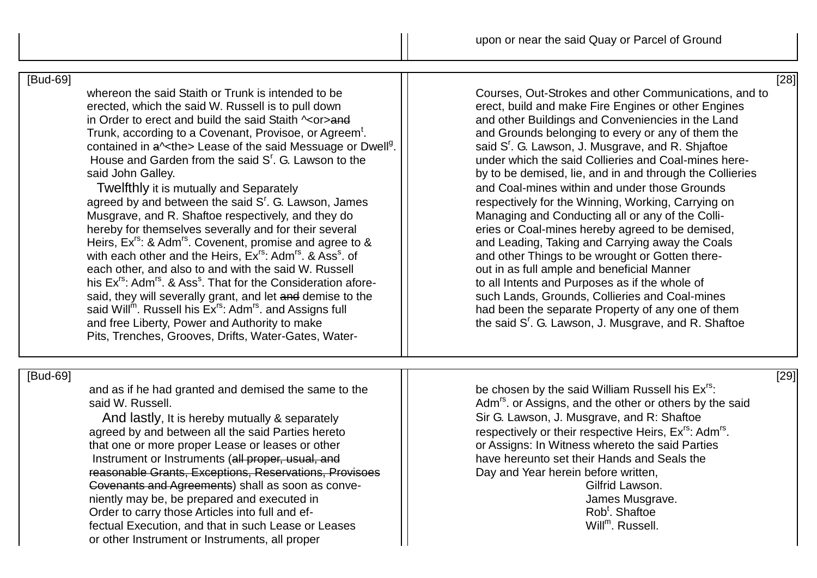[Bud-69] [28]

whereon the said Staith or Trunk is intended to be Courses, Out-Strokes and other Communications, and to erected. which the said W. Russell is to pull down in Order to erect and build the said Staith  $\sim$ or>and and and other Buildings and Conveniencies in the Land Trunk, according to a Covenant, Provisoe, or Agreem<sup>t</sup>. contained in  $a$ <sup> $\lt$ </sup>the> Lease of the said Messuage or Dwell<sup>g</sup>. House and Garden from the said  $S<sup>r</sup>$  G I awson to the said John Galley. **by to be demised, lie, and in and through the Collieries** 

agreed by and between the said  $S<sup>r</sup>$ . G. Lawson, James Musgrave, and R. Shaftoe respectively, and they do  $\vert \vert$  Managing and Conducting all or any of the Collihereby for themselves severally and for their several erres or Coal-mines hereby agreed to be demised, Heirs,  $Ex^{rs}$ : & Adm<sup>rs</sup>. Covenent, promise and agree to  $x = 1$  and Leading, Taking and Carrying away the Coals with each other and the Heirs,  $Ex^{rs}$ : Adm<sup>rs</sup>, & Ass<sup>s</sup>, of each other, and also to and with the said W. Russell **in the set of the set out in as full ample and beneficial Manner** his Ex<sup>rs</sup>: Adm<sup>rs</sup>, & Ass<sup>s</sup>. That for the Consideration aforesaid, they will severally grant, and let and demise to the  $\vert \vert$  such Lands, Grounds, Collieries and Coal-mines said Will<sup>m</sup>. Russell his Ex<sup>rs</sup>: Adm<sup>rs</sup>, and Assigns full and free Liberty, Power and Authority to make Pits, Trenches, Grooves, Drifts, Water-Gates, Water-

erect, build and make Fire Engines or other Engines . and Grounds belonging to every or any of them the . | | said S<sup>r</sup>. G. Lawson, J. Musgrave, and R. Shjaftoe under which the said Collieries and Coal-mines here-Twelfthly it is mutually and Separately and Coal-mines within and under those Grounds respectively for the Winning, Working, Carrying on and other Things to be wrought or Gotten thereto all Intents and Purposes as if the whole of had been the separate Property of any one of them the said  $S<sup>r</sup>$ . G. Lawson, J. Musgrave, and R. Shaftoe

## [Bud-69] [29]

and as if he had granted and demised the same to the be chosen by the said William Russell his  $Ex^{rs}$ :<br>said W. Russell his Ex<sup>rs</sup>:<br>the other or others by the said W. Russell

agreed by and between all the said Parties hereto that one or more proper Lease or leases or other **Fig. 1.1.** The Southerman or Assigns: In Witness whereto the said Parties Instrument or Instruments (all proper, usual, and have have hereunto set their Hands and Seals the reasonable Grants, Exceptions, Reservations, Provisoes Day and Year herein before written, Covenants and Agreements) shall as soon as conve- Fig. 1.1 Covenants and Agreements and Sulfrid Lawson. niently may be, be prepared and executed in James Musgrave. Order to carry those Articles into full and effectual Execution, and that in such Lease or Leases or other Instrument or Instruments, all proper

Adm<sup>rs</sup>, or Assigns, and the other or others by the said And lastly, It is hereby mutually & separately Summan Sir G. Lawson, J. Musgrave, and R: Shaftoe respectively or their respective Heirs, Ex<sup>rs</sup>: Adm<sup>rs</sup>.

> Rob<sup>t</sup>. Shaftoe Will<sup>m</sup>. Russell.